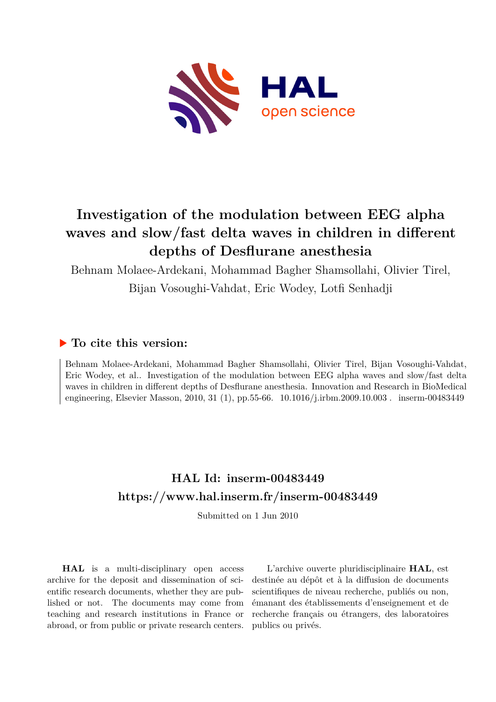

# **Investigation of the modulation between EEG alpha waves and slow/fast delta waves in children in different depths of Desflurane anesthesia**

Behnam Molaee-Ardekani, Mohammad Bagher Shamsollahi, Olivier Tirel,

Bijan Vosoughi-Vahdat, Eric Wodey, Lotfi Senhadji

# **To cite this version:**

Behnam Molaee-Ardekani, Mohammad Bagher Shamsollahi, Olivier Tirel, Bijan Vosoughi-Vahdat, Eric Wodey, et al.. Investigation of the modulation between EEG alpha waves and slow/fast delta waves in children in different depths of Desflurane anesthesia. Innovation and Research in BioMedical engineering, Elsevier Masson, 2010, 31 (1), pp.55-66. 10.1016/j.irbm.2009.10.003. inserm-00483449

# **HAL Id: inserm-00483449 <https://www.hal.inserm.fr/inserm-00483449>**

Submitted on 1 Jun 2010

**HAL** is a multi-disciplinary open access archive for the deposit and dissemination of scientific research documents, whether they are published or not. The documents may come from teaching and research institutions in France or abroad, or from public or private research centers.

L'archive ouverte pluridisciplinaire **HAL**, est destinée au dépôt et à la diffusion de documents scientifiques de niveau recherche, publiés ou non, émanant des établissements d'enseignement et de recherche français ou étrangers, des laboratoires publics ou privés.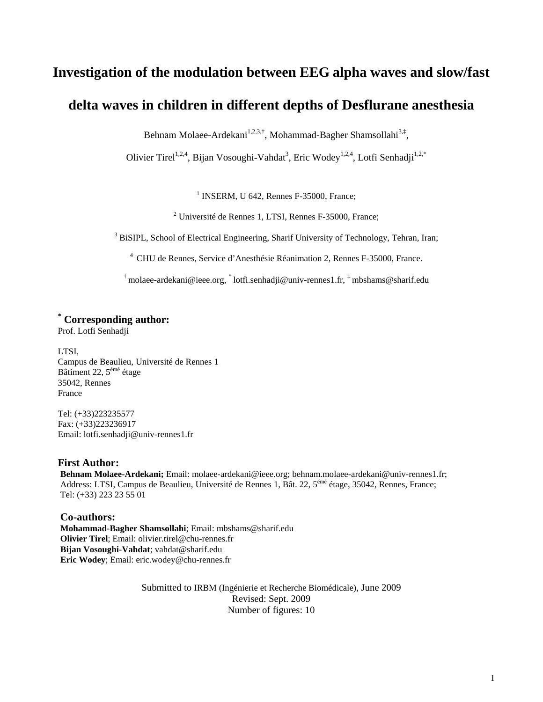# **Investigation of the modulation between EEG alpha waves and slow/fast**

# **delta waves in children in different depths of Desflurane anesthesia**

Behnam Molaee-Ardekani<sup>1,2,3,†</sup>, Mohammad-Bagher Shamsollahi<sup>3,‡</sup>,

Olivier Tirel<sup>1,2,4</sup>, Bijan Vosoughi-Vahdat<sup>3</sup>, Eric Wodey<sup>1,2,4</sup>, Lotfi Senhadji<sup>1,2,\*</sup>

<sup>1</sup> INSERM, U 642, Rennes F-35000, France;

<sup>2</sup> Université de Rennes 1, LTSI, Rennes F-35000, France;

<sup>3</sup> BiSIPL, School of Electrical Engineering, Sharif University of Technology, Tehran, Iran;

4 CHU de Rennes, Service d'Anesthésie Réanimation 2, Rennes F-35000, France.

<sup>†</sup> [molaee-ardekani@ieee.org,](mailto:molaee-ardekani@ieee.org) \* [lotfi.senhadji@univ-rennes1.fr,](mailto:lotfi.senhadji@univ-rennes1.fr)  $\frac{1}{4}$ mbshams@sharif.edu

# **\* Corresponding author:**

Prof. Lotfi Senhadji

LTSI, Campus de Beaulieu, Université de Rennes 1 Bâtiment 22, 5émé étage 35042, Rennes France

Tel: (+33)223235577 Fax: (+33)223236917 Email: lotfi.senhadji@univ-rennes1.fr

### **First Author:**

**Behnam Molaee-Ardekani;** Email: molaee-ardekani@ieee.org; [behnam.molaee-ardekani@univ-rennes1.fr;](mailto:behnam.molaee-ardekani@univ-rennes1.fr) Address: LTSI, Campus de Beaulieu, Université de Rennes 1, Bât. 22, 5émé étage, 35042, Rennes, France; Tel: (+33) 223 23 55 01

### **Co-authors:**

**Mohammad-Bagher Shamsollahi**; Email: mbshams@sharif.edu **Olivier Tirel**; Email: [olivier.tirel@chu-rennes.fr](mailto:olivier.tirel@chu-rennes.fr)  **Bijan Vosoughi-Vahdat**; vahdat@sharif.edu **Eric Wodey**; Email: eric.wodey@chu-rennes.fr

> Submitted to IRBM (Ingénierie et Recherche Biomédicale), June 2009 Revised: Sept. 2009 Number of figures: 10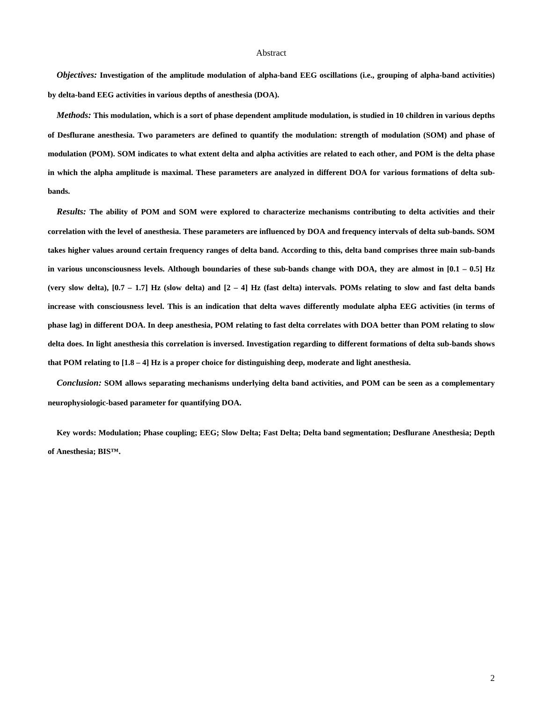#### Abstract

*Objectives:* **Investigation of the amplitude modulation of alpha-band EEG oscillations (i.e., grouping of alpha-band activities) by delta-band EEG activities in various depths of anesthesia (DOA).** 

*Methods:* **This modulation, which is a sort of phase dependent amplitude modulation, is studied in 10 children in various depths of Desflurane anesthesia. Two parameters are defined to quantify the modulation: strength of modulation (SOM) and phase of modulation (POM). SOM indicates to what extent delta and alpha activities are related to each other, and POM is the delta phase in which the alpha amplitude is maximal. These parameters are analyzed in different DOA for various formations of delta subbands.** 

*Results:* **The ability of POM and SOM were explored to characterize mechanisms contributing to delta activities and their correlation with the level of anesthesia. These parameters are influenced by DOA and frequency intervals of delta sub-bands. SOM takes higher values around certain frequency ranges of delta band. According to this, delta band comprises three main sub-bands in various unconsciousness levels. Although boundaries of these sub-bands change with DOA, they are almost in [0.1 – 0.5] Hz (very slow delta), [0.7 – 1.7] Hz (slow delta) and [2 – 4] Hz (fast delta) intervals. POMs relating to slow and fast delta bands increase with consciousness level. This is an indication that delta waves differently modulate alpha EEG activities (in terms of phase lag) in different DOA. In deep anesthesia, POM relating to fast delta correlates with DOA better than POM relating to slow delta does. In light anesthesia this correlation is inversed. Investigation regarding to different formations of delta sub-bands shows that POM relating to [1.8 – 4] Hz is a proper choice for distinguishing deep, moderate and light anesthesia.** 

*Conclusion:* **SOM allows separating mechanisms underlying delta band activities, and POM can be seen as a complementary neurophysiologic-based parameter for quantifying DOA.** 

**Key words: Modulation; Phase coupling; EEG; Slow Delta; Fast Delta; Delta band segmentation; Desflurane Anesthesia; Depth of Anesthesia; BIS™.**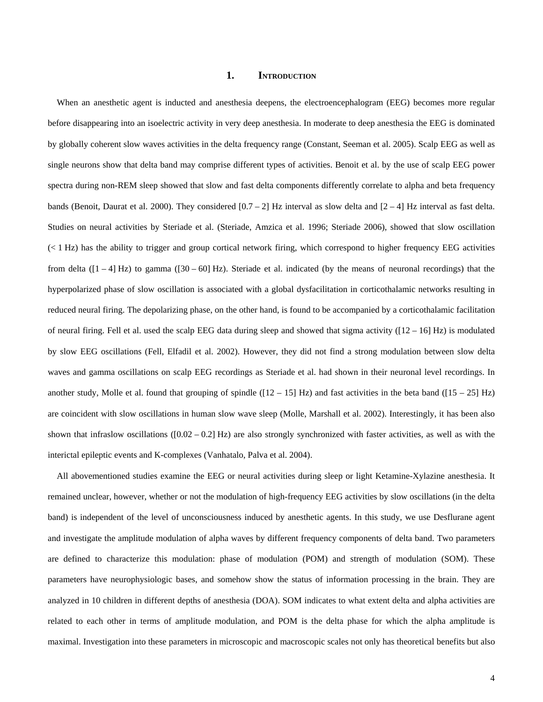#### **1. INTRODUCTION**

When an anesthetic agent is inducted and anesthesia deepens, the electroencephalogram (EEG) becomes more regular before disappearing into an isoelectric activity in very deep anesthesia. In moderate to deep anesthesia the EEG is dominated by globally coherent slow waves activities in the delta frequency range (Constant, Seeman et al. 2005). Scalp EEG as well as single neurons show that delta band may comprise different types of activities. Benoit et al. by the use of scalp EEG power spectra during non-REM sleep showed that slow and fast delta components differently correlate to alpha and beta frequency bands (Benoit, Daurat et al. 2000). They considered  $[0.7 - 2]$  Hz interval as slow delta and  $[2 - 4]$  Hz interval as fast delta. Studies on neural activities by Steriade et al. (Steriade, Amzica et al. 1996; Steriade 2006), showed that slow oscillation (< 1 Hz) has the ability to trigger and group cortical network firing, which correspond to higher frequency EEG activities from delta  $(1 - 4)$  Hz) to gamma  $(30 - 60)$  Hz). Steriade et al. indicated (by the means of neuronal recordings) that the hyperpolarized phase of slow oscillation is associated with a global dysfacilitation in corticothalamic networks resulting in reduced neural firing. The depolarizing phase, on the other hand, is found to be accompanied by a corticothalamic facilitation of neural firing. Fell et al. used the scalp EEG data during sleep and showed that sigma activity  $([12 - 16]$  Hz) is modulated by slow EEG oscillations (Fell, Elfadil et al. 2002). However, they did not find a strong modulation between slow delta waves and gamma oscillations on scalp EEG recordings as Steriade et al. had shown in their neuronal level recordings. In another study, Molle et al. found that grouping of spindle ( $[12 - 15]$  Hz) and fast activities in the beta band ( $[15 - 25]$  Hz) are coincident with slow oscillations in human slow wave sleep (Molle, Marshall et al. 2002). Interestingly, it has been also shown that infraslow oscillations  $([0.02 - 0.2]$  Hz) are also strongly synchronized with faster activities, as well as with the interictal epileptic events and K-complexes (Vanhatalo, Palva et al. 2004).

All abovementioned studies examine the EEG or neural activities during sleep or light Ketamine-Xylazine anesthesia. It remained unclear, however, whether or not the modulation of high-frequency EEG activities by slow oscillations (in the delta band) is independent of the level of unconsciousness induced by anesthetic agents. In this study, we use Desflurane agent and investigate the amplitude modulation of alpha waves by different frequency components of delta band. Two parameters are defined to characterize this modulation: phase of modulation (POM) and strength of modulation (SOM). These parameters have neurophysiologic bases, and somehow show the status of information processing in the brain. They are analyzed in 10 children in different depths of anesthesia (DOA). SOM indicates to what extent delta and alpha activities are related to each other in terms of amplitude modulation, and POM is the delta phase for which the alpha amplitude is maximal. Investigation into these parameters in microscopic and macroscopic scales not only has theoretical benefits but also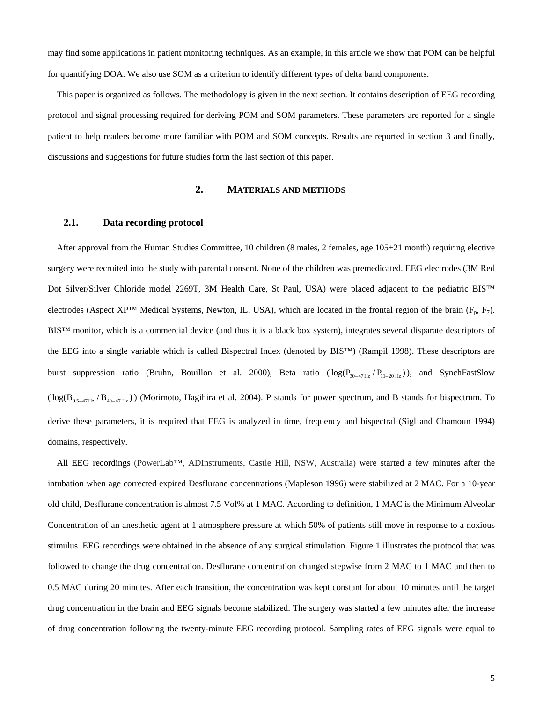may find some applications in patient monitoring techniques. As an example, in this article we show that POM can be helpful for quantifying DOA. We also use SOM as a criterion to identify different types of delta band components.

This paper is organized as follows. The methodology is given in the next section. It contains description of EEG recording protocol and signal processing required for deriving POM and SOM parameters. These parameters are reported for a single patient to help readers become more familiar with POM and SOM concepts. Results are reported in section 3 and finally, discussions and suggestions for future studies form the last section of this paper.

### **2. MATERIALS AND METHODS**

### **2.1. Data recording protocol**

After approval from the Human Studies Committee, 10 children (8 males, 2 females, age  $105\pm21$  month) requiring elective surgery were recruited into the study with parental consent. None of the children was premedicated. EEG electrodes (3M Red Dot Silver/Silver Chloride model 2269T, 3M Health Care, St Paul, USA) were placed adjacent to the pediatric BIS™ electrodes (Aspect XP™ Medical Systems, Newton, IL, USA), which are located in the frontal region of the brain ( $F_p$ ,  $F_7$ ). BIS™ monitor, which is a commercial device (and thus it is a black box system), integrates several disparate descriptors of the EEG into a single variable which is called Bispectral Index (denoted by BIS™) (Rampil 1998). These descriptors are burst suppression ratio (Bruhn, Bouillon et al. 2000), Beta ratio  $(\log(P_{30-47\text{Hz}}/P_{11-20\text{Hz}}))$ , and SynchFastSlow  $(\log(B_{0.5-47\text{ Hz}}/B_{40-47\text{ Hz}}))$  (Morimoto, Hagihira et al. 2004). P stands for power spectrum, and B stands for bispectrum. To derive these parameters, it is required that EEG is analyzed in time, frequency and bispectral (Sigl and Chamoun 1994) domains, respectively.

All EEG recordings (PowerLab™, ADInstruments, Castle Hill, NSW, Australia) were started a few minutes after the intubation when age corrected expired Desflurane concentrations (Mapleson 1996) were stabilized at 2 MAC. For a 10-year old child, Desflurane concentration is almost 7.5 Vol% at 1 MAC. According to definition, 1 MAC is the Minimum Alveolar Concentration of an anesthetic agent at 1 atmosphere pressure at which 50% of patients still move in response to a noxious stimulus. EEG recordings were obtained in the absence of any surgical stimulation. [Figure 1](#page-5-0) illustrates the protocol that was followed to change the drug concentration. Desflurane concentration changed stepwise from 2 MAC to 1 MAC and then to 0.5 MAC during 20 minutes. After each transition, the concentration was kept constant for about 10 minutes until the target drug concentration in the brain and EEG signals become stabilized. The surgery was started a few minutes after the increase of drug concentration following the twenty-minute EEG recording protocol. Sampling rates of EEG signals were equal to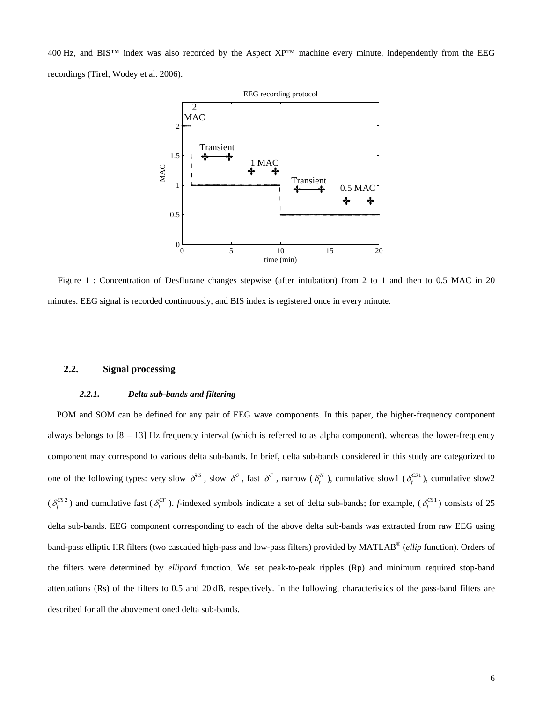400 Hz, and BIS™ index was also recorded by the Aspect XP™ machine every minute, independently from the EEG recordings (Tirel, Wodey et al. 2006).



<span id="page-5-0"></span>Figure 1 : Concentration of Desflurane changes stepwise (after intubation) from 2 to 1 and then to 0.5 MAC in 20 minutes. EEG signal is recorded continuously, and BIS index is registered once in every minute.

### **2.2. Signal processing**

#### *2.2.1. Delta sub-bands and filtering*

POM and SOM can be defined for any pair of EEG wave components. In this paper, the higher-frequency component always belongs to  $[8 - 13]$  Hz frequency interval (which is referred to as alpha component), whereas the lower-frequency component may correspond to various delta sub-bands. In brief, delta sub-bands considered in this study are categorized to one of the following types: very slow  $\delta^{s}$ , slow  $\delta^{s}$ , fast  $\delta^{F}$ , narrow  $(\delta^{N}_{f})$ , cumulative slow1  $(\delta^{CS}_{f})$ , cumulative slow2  $(\delta_f^{CS2})$  and cumulative fast  $(\delta_f^{CF})$ . *f*-indexed symbols indicate a set of delta sub-bands; for example,  $(\delta_f^{CS1})$  consists of 25 delta sub-bands. EEG component corresponding to each of the above delta sub-bands was extracted from raw EEG using band-pass elliptic IIR filters (two cascaded high-pass and low-pass filters) provided by MATLAB® (*ellip* function). Orders of the filters were determined by *ellipord* function. We set peak-to-peak ripples (Rp) and minimum required stop-band attenuations (Rs) of the filters to 0.5 and 20 dB, respectively. In the following, characteristics of the pass-band filters are described for all the abovementioned delta sub-bands.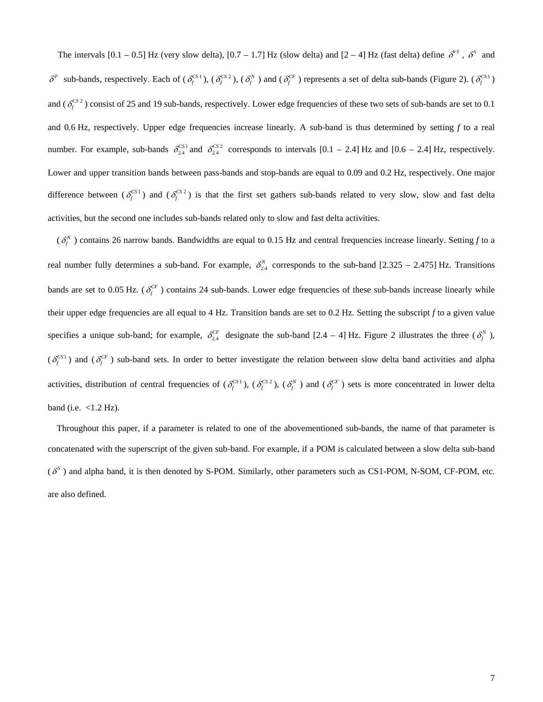The intervals  $[0.1 - 0.5]$  Hz (very slow delta),  $[0.7 - 1.7]$  Hz (slow delta) and  $[2 - 4]$  Hz (fast delta) define  $\delta^{VS}$ ,  $\delta^S$  and  $\delta^F$  sub-bands, respectively. Each of  $(\delta_f^{\text{CS1}})$ ,  $(\delta_f^{\text{CS2}})$ ,  $(\delta_f^N)$  and  $(\delta_f^{\text{CF}})$  represents a set of delta sub-bands ([Figure 2\)](#page-7-0).  $(\delta_f^{\text{CS1}})$ and  $(\delta_f^{\text{CS 2}})$  consist of 25 and 19 sub-bands, respectively. Lower edge frequencies of these two sets of sub-bands are set to 0.1 and 0.6 Hz, respectively. Upper edge frequencies increase linearly. A sub-band is thus determined by setting *f* to a real number. For example, sub-bands  $\delta_{2,4}^{CS1}$  and  $\delta_{2,4}^{CS2}$  corresponds to intervals  $[0.1 - 2.4]$  Hz and  $[0.6 - 2.4]$  Hz, respectively. Lower and upper transition bands between pass-bands and stop-bands are equal to 0.09 and 0.2 Hz, respectively. One major difference between ( $\delta_f^{\text{CS1}}$ ) and ( $\delta_f^{\text{CS2}}$ ) is that the first set gathers sub-bands related to very slow, slow and fast delta activities, but the second one includes sub-bands related only to slow and fast delta activities.

 $(\delta_f^N)$  contains 26 narrow bands. Bandwidths are equal to 0.15 Hz and central frequencies increase linearly. Setting f to a real number fully determines a sub-band. For example,  $\delta_{2,4}^N$  corresponds to the sub-band [2.325 – 2.475] Hz. Transitions bands are set to 0.05 Hz. ( $\delta_f^{CF}$ ) contains 24 sub-bands. Lower edge frequencies of these sub-bands increase linearly while their upper edge frequencies are all equal to 4 Hz. Transition bands are set to 0.2 Hz. Setting the subscript *f* to a given value specifies a unique sub-band; for example,  $\delta_{2,4}^{CF}$  designate the sub-band [2.4 – 4] Hz. [Figure 2](#page-7-0) illustrates the three  $(\delta_f^N)$ ,  $(\delta_f^{CS1})$  and  $(\delta_f^{CF})$  sub-band sets. In order to better investigate the relation between slow delta band activities and alpha activities, distribution of central frequencies of  $(\delta_f^{CS1})$ ,  $(\delta_f^{CS2})$ ,  $(\delta_f^{N})$  and  $(\delta_f^{CF})$  sets is more concentrated in lower delta band (i.e.  $<1.2$  Hz).

Throughout this paper, if a parameter is related to one of the abovementioned sub-bands, the name of that parameter is concatenated with the superscript of the given sub-band. For example, if a POM is calculated between a slow delta sub-band  $(\delta^s)$  and alpha band, it is then denoted by S-POM. Similarly, other parameters such as CS1-POM, N-SOM, CF-POM, etc. are also defined.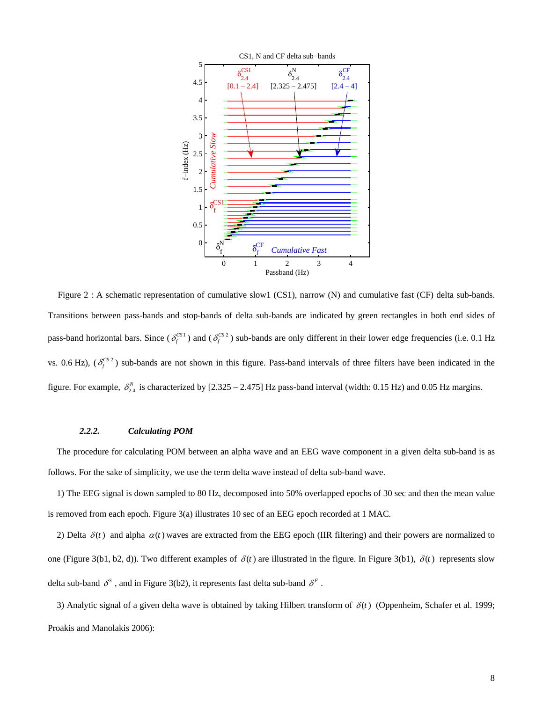

<span id="page-7-0"></span>Figure 2 : A schematic representation of cumulative slow1 (CS1), narrow (N) and cumulative fast (CF) delta sub-bands. Transitions between pass-bands and stop-bands of delta sub-bands are indicated by green rectangles in both end sides of pass-band horizontal bars. Since  $(\delta_f^{CS1})$  and  $(\delta_f^{CS2})$  sub-bands are only different in their lower edge frequencies (i.e. 0.1 Hz vs. 0.6 Hz),  $(\delta_f^{\text{CS2}})$  sub-bands are not shown in this figure. Pass-band intervals of three filters have been indicated in the figure. For example,  $\delta_{2,4}^N$  is characterized by [2.325 – 2.475] Hz pass-band interval (width: 0.15 Hz) and 0.05 Hz margins.

#### *2.2.2. Calculating POM*

The procedure for calculating POM between an alpha wave and an EEG wave component in a given delta sub-band is as follows. For the sake of simplicity, we use the term delta wave instead of delta sub-band wave.

1) The EEG signal is down sampled to 80 Hz, decomposed into 50% overlapped epochs of 30 sec and then the mean value is removed from each epoch. [Figure 3](#page-9-0)(a) illustrates 10 sec of an EEG epoch recorded at 1 MAC.

2) Delta  $\delta(t)$  and alpha  $\alpha(t)$  waves are extracted from the EEG epoch (IIR filtering) and their powers are normalized to one ([Figure 3\(](#page-9-0)b1, b2, d)). Two different examples of  $\delta(t)$  are illustrated in the figure. In Figure 3(b1),  $\delta(t)$  represents slow delta sub-band  $\delta^s$ , and in [Figure 3\(](#page-9-0)b2), it represents fast delta sub-band  $\delta^F$ .

3) Analytic signal of a given delta wave is obtained by taking Hilbert transform of  $\delta(t)$  (Oppenheim, Schafer et al. 1999; Proakis and Manolakis 2006):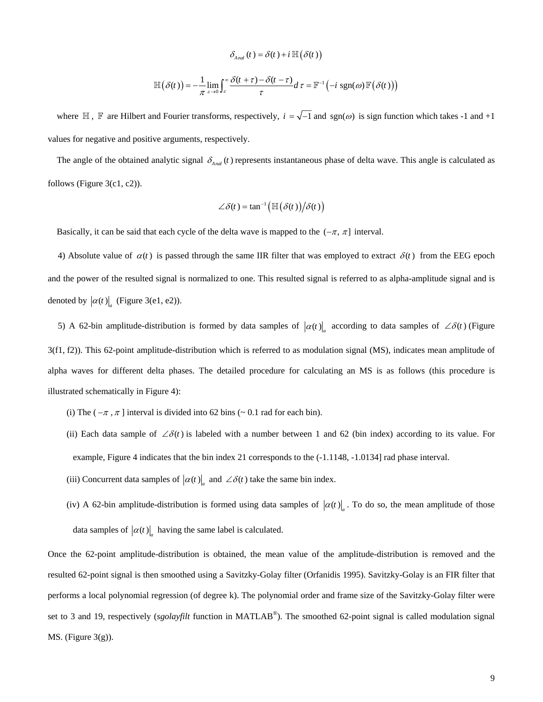$$
\delta_{\text{And}}(t) = \delta(t) + i \, \mathbb{H}\big(\delta(t)\big)
$$

$$
\mathbb{H}\big(\delta(t)\big) = -\frac{1}{\pi} \lim_{\varepsilon \to 0} \int_{\varepsilon}^{\infty} \frac{\delta(t+\tau) - \delta(t-\tau)}{\tau} d\,\tau = \mathbb{F}^{-1}\big(-i \, \text{sgn}(\omega) \, \mathbb{F}\big(\delta(t)\big)\big)
$$

where  $\mathbb H$ ,  $\mathbb F$  are Hilbert and Fourier transforms, respectively,  $i = \sqrt{-1}$  and  $sgn(\omega)$  is sign function which takes -1 and +1 values for negative and positive arguments, respectively.

The angle of the obtained analytic signal  $\delta_{\text{And}}(t)$  represents instantaneous phase of delta wave. This angle is calculated as follows ( [Figure 3\(](#page-9-0)c1, c2)).

$$
\angle \delta(t) = \tan^{-1}\left(\mathbb{H}\left(\delta(t)\right)/\delta(t)\right)
$$

Basically, it can be said that each cycle of the delta wave is mapped to the  $(-\pi, \pi]$  interval.

4) Absolute value of  $\alpha(t)$  is passed through the same IIR filter that was employed to extract  $\delta(t)$  from the EEG epoch and the power of the resulted signal is normalized to one. This resulted signal is referred to as alpha-amplitude signal and is denoted by  $|\alpha(t)|_a$  ([Figure 3\(](#page-9-0)e1, e2)).

5) A 62-bin amplitude-distribution is formed by data samples of  $|\alpha(t)|$  according to data samples of ∠ $\delta(t)$  (Figure [3\(](#page-9-0)f1, f2)). This 62-point amplitude-distribution which is referred to as modulation signal (MS), indicates mean amplitude of alpha waves for different delta phases. The detailed procedure for calculating an MS is as follows (this procedure is illustrated schematically in [Figure 4\)](#page-10-0):

- (i) The ( $-\pi$ ,  $\pi$ ] interval is divided into 62 bins ( $\sim$  0.1 rad for each bin).
- (ii) Each data sample of  $\angle \delta(t)$  is labeled with a number between 1 and 62 (bin index) according to its value. For example, [Figure 4](#page-10-0) indicates that the bin index 21 corresponds to the (-1.1148, -1.0134] rad phase interval.
- (iii) Concurrent data samples of  $|\alpha(t)|_a$  and ∠ $\delta(t)$  take the same bin index.
- (iv) A 62-bin amplitude-distribution is formed using data samples of  $|\alpha(t)|_a$ . To do so, the mean amplitude of those data samples of  $|\alpha(t)|_a$  having the same label is calculated.

Once the 62-point amplitude-distribution is obtained, the mean value of the amplitude-distribution is removed and the resulted 62-point signal is then smoothed using a Savitzky-Golay filter (Orfanidis 1995). Savitzky-Golay is an FIR filter that performs a local polynomial regression (of degree k). The polynomial order and frame size of the Savitzky-Golay filter were set to 3 and 19, respectively (*sgolayfilt* function in MATLAB®). The smoothed 62-point signal is called modulation signal MS. (Figure  $3(g)$ ).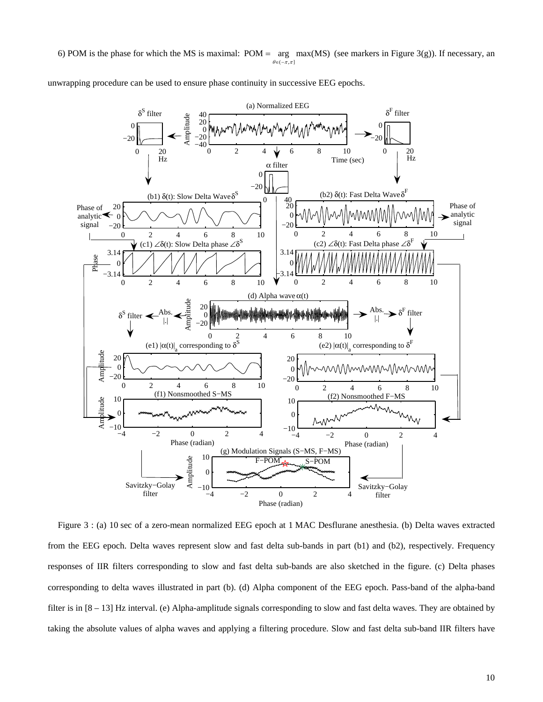6) POM is the phase for which the MS is maximal: POM =  $\arg \max(MS)$  (see markers in [Figure 3\(](#page-9-0)g)). If necessary, an  $\theta \in (-\pi, \pi]$ 

unwrapping procedure can be used to ensure phase continuity in successive EEG epochs.



<span id="page-9-0"></span>Figure 3 : (a) 10 sec of a zero-mean normalized EEG epoch at 1 MAC Desflurane anesthesia. (b) Delta waves extracted from the EEG epoch. Delta waves represent slow and fast delta sub-bands in part (b1) and (b2), respectively. Frequency responses of IIR filters corresponding to slow and fast delta sub-bands are also sketched in the figure. (c) Delta phases corresponding to delta waves illustrated in part (b). (d) Alpha component of the EEG epoch. Pass-band of the alpha-band filter is in [8 – 13] Hz interval. (e) Alpha-amplitude signals corresponding to slow and fast delta waves. They are obtained by taking the absolute values of alpha waves and applying a filtering procedure. Slow and fast delta sub-band IIR filters have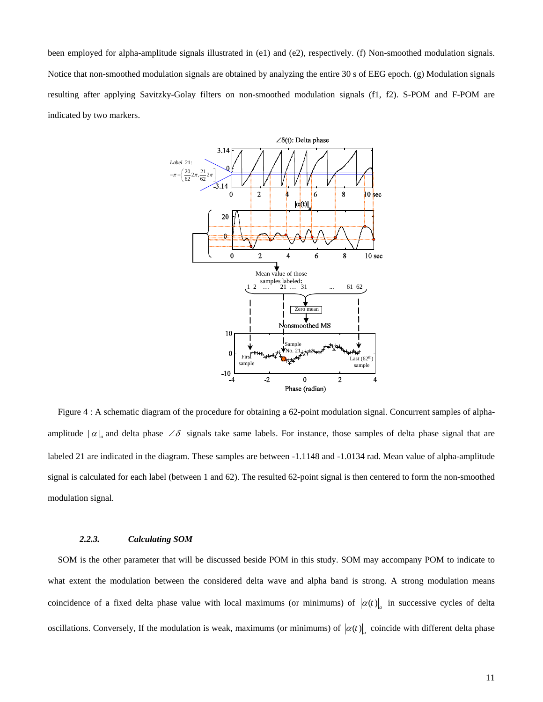been employed for alpha-amplitude signals illustrated in (e1) and (e2), respectively. (f) Non-smoothed modulation signals. Notice that non-smoothed modulation signals are obtained by analyzing the entire 30 s of EEG epoch. (g) Modulation signals resulting after applying Savitzky-Golay filters on non-smoothed modulation signals (f1, f2). S-POM and F-POM are indicated by two markers.



<span id="page-10-0"></span>Figure 4 : A schematic diagram of the procedure for obtaining a 62-point modulation signal. Concurrent samples of alphaamplitude  $|\alpha|_a$  and delta phase ∠ $\delta$  signals take same labels. For instance, those samples of delta phase signal that are labeled 21 are indicated in the diagram. These samples are between -1.1148 and -1.0134 rad. Mean value of alpha-amplitude signal is calculated for each label (between 1 and 62). The resulted 62-point signal is then centered to form the non-smoothed modulation signal.

#### *2.2.3. Calculating SOM*

SOM is the other parameter that will be discussed beside POM in this study. SOM may accompany POM to indicate to what extent the modulation between the considered delta wave and alpha band is strong. A strong modulation means coincidence of a fixed delta phase value with local maximums (or minimums) of  $|\alpha(t)|$  in successive cycles of delta oscillations. Conversely, If the modulation is weak, maximums (or minimums) of  $|\alpha(t)|$  coincide with different delta phase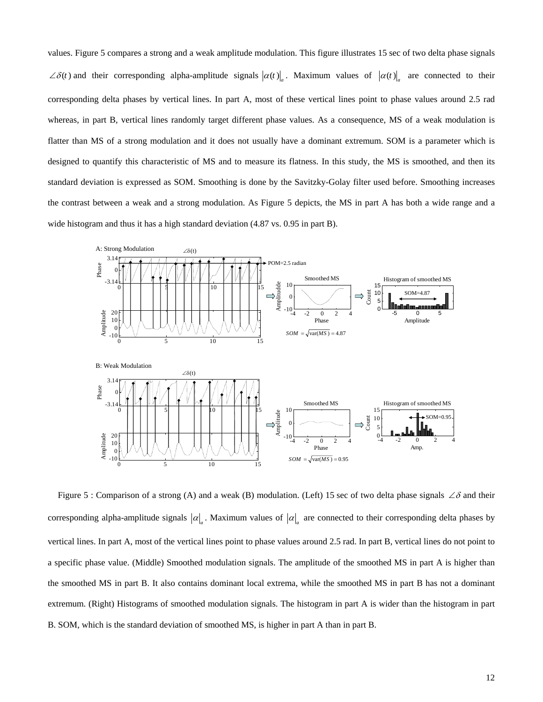values. [Figure 5](#page-11-0) compares a strong and a weak amplitude modulation. This figure illustrates 15 sec of two delta phase signals  $\angle \delta(t)$  and their corresponding alpha-amplitude signals  $|\alpha(t)|_a$ . Maximum values of  $|\alpha(t)|_a$  are connected to their corresponding delta phases by vertical lines. In part A, most of these vertical lines point to phase values around 2.5 rad whereas, in part B, vertical lines randomly target different phase values. As a consequence, MS of a weak modulation is flatter than MS of a strong modulation and it does not usually have a dominant extremum. SOM is a parameter which is designed to quantify this characteristic of MS and to measure its flatness. In this study, the MS is smoothed, and then its standard deviation is expressed as SOM. Smoothing is done by the Savitzky-Golay filter used before. Smoothing increases the contrast between a weak and a strong modulation. As [Figure 5](#page-11-0) depicts, the MS in part A has both a wide range and a wide histogram and thus it has a high standard deviation (4.87 vs. 0.95 in part B).



<span id="page-11-0"></span>Figure 5 : Comparison of a strong (A) and a weak (B) modulation. (Left) 15 sec of two delta phase signals ∠ $\delta$  and their corresponding alpha-amplitude signals  $|\alpha|$ . Maximum values of  $|\alpha|$  are connected to their corresponding delta phases by vertical lines. In part A, most of the vertical lines point to phase values around 2.5 rad. In part B, vertical lines do not point to a specific phase value. (Middle) Smoothed modulation signals. The amplitude of the smoothed MS in part A is higher than the smoothed MS in part B. It also contains dominant local extrema, while the smoothed MS in part B has not a dominant extremum. (Right) Histograms of smoothed modulation signals. The histogram in part A is wider than the histogram in part B. SOM, which is the standard deviation of smoothed MS, is higher in part A than in part B.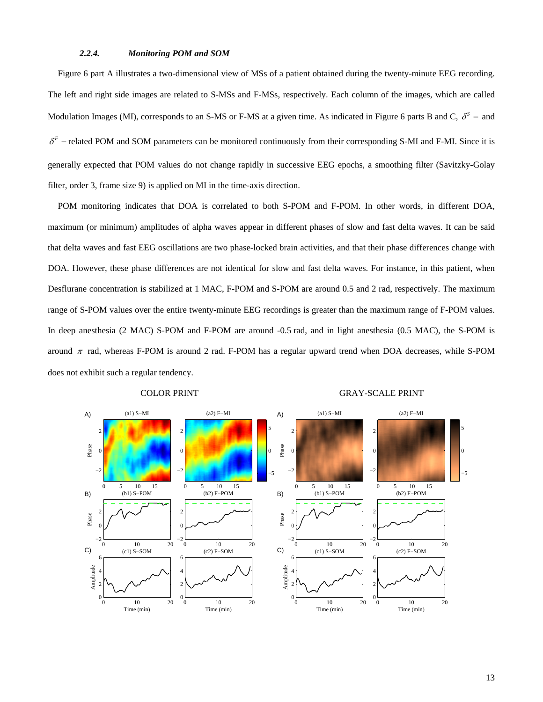### *2.2.4. Monitoring POM and SOM*

<span id="page-12-0"></span>[Figure 6](#page-13-0) part A illustrates a two-dimensional view of MSs of a patient obtained during the twenty-minute EEG recording. The left and right side images are related to S-MSs and F-MSs, respectively. Each column of the images, which are called Modulation Images (MI), corresponds to an S-MS or F-MS at a given time. As indicated in [Figure 6](#page-13-0) parts B and C,  $\delta^s$  – and  $\delta^F$  – related POM and SOM parameters can be monitored continuously from their corresponding S-MI and F-MI. Since it is generally expected that POM values do not change rapidly in successive EEG epochs, a smoothing filter (Savitzky-Golay filter, order 3, frame size 9) is applied on MI in the time-axis direction.

POM monitoring indicates that DOA is correlated to both S-POM and F-POM. In other words, in different DOA, maximum (or minimum) amplitudes of alpha waves appear in different phases of slow and fast delta waves. It can be said that delta waves and fast EEG oscillations are two phase-locked brain activities, and that their phase differences change with DOA. However, these phase differences are not identical for slow and fast delta waves. For instance, in this patient, when Desflurane concentration is stabilized at 1 MAC, F-POM and S-POM are around 0.5 and 2 rad, respectively. The maximum range of S-POM values over the entire twenty-minute EEG recordings is greater than the maximum range of F-POM values. In deep anesthesia (2 MAC) S-POM and F-POM are around -0.5 rad, and in light anesthesia (0.5 MAC), the S-POM is around  $\pi$  rad, whereas F-POM is around 2 rad. F-POM has a regular upward trend when DOA decreases, while S-POM does not exhibit such a regular tendency.



# COLOR PRINT GRAY-SCALE PRINT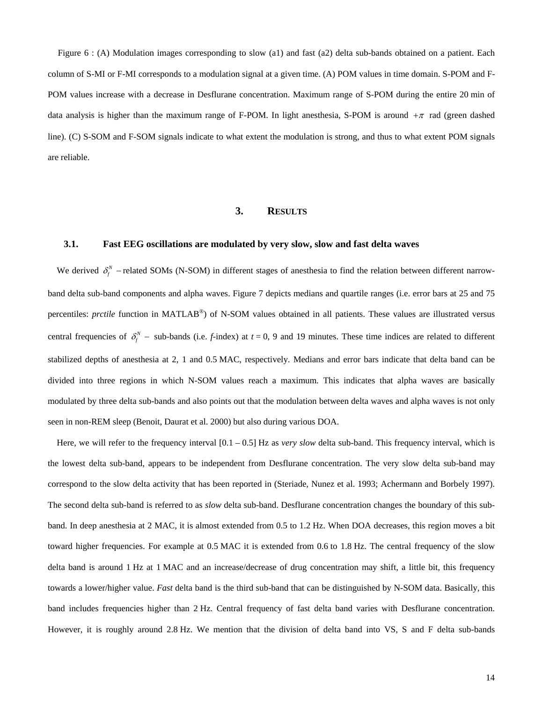<span id="page-13-0"></span>Figure 6 : (A) Modulation images corresponding to slow (a1) and fast (a2) delta sub-bands obtained on a patient. Each column of S-MI or F-MI corresponds to a modulation signal at a given time. (A) POM values in time domain. S-POM and F-POM values increase with a decrease in Desflurane concentration. Maximum range of S-POM during the entire 20 min of data analysis is higher than the maximum range of F-POM. In light anesthesia, S-POM is around  $+\pi$  rad (green dashed line). (C) S-SOM and F-SOM signals indicate to what extent the modulation is strong, and thus to what extent POM signals are reliable.

### **3. RESULTS**

### **3.1. Fast EEG oscillations are modulated by very slow, slow and fast delta waves**

We derived  $\delta_f^N$  – related SOMs (N-SOM) in different stages of anesthesia to find the relation between different narrowband delta sub-band components and alpha waves. [Figure 7](#page-14-0) depicts medians and quartile ranges (i.e. error bars at 25 and 75 percentiles: *prctile* function in MATLAB®) of N-SOM values obtained in all patients. These values are illustrated versus central frequencies of  $\delta_f^N$  – sub-bands (i.e. *f*-index) at  $t = 0$ , 9 and 19 minutes. These time indices are related to different stabilized depths of anesthesia at 2, 1 and 0.5 MAC, respectively. Medians and error bars indicate that delta band can be divided into three regions in which N-SOM values reach a maximum. This indicates that alpha waves are basically modulated by three delta sub-bands and also points out that the modulation between delta waves and alpha waves is not only seen in non-REM sleep (Benoit, Daurat et al. 2000) but also during various DOA.

Here, we will refer to the frequency interval [0.1 – 0.5] Hz as *very slow* delta sub-band. This frequency interval, which is the lowest delta sub-band, appears to be independent from Desflurane concentration. The very slow delta sub-band may correspond to the slow delta activity that has been reported in (Steriade, Nunez et al. 1993; Achermann and Borbely 1997). The second delta sub-band is referred to as *slow* delta sub-band. Desflurane concentration changes the boundary of this subband. In deep anesthesia at 2 MAC, it is almost extended from 0.5 to 1.2 Hz. When DOA decreases, this region moves a bit toward higher frequencies. For example at 0.5 MAC it is extended from 0.6 to 1.8 Hz. The central frequency of the slow delta band is around 1 Hz at 1 MAC and an increase/decrease of drug concentration may shift, a little bit, this frequency towards a lower/higher value. *Fast* delta band is the third sub-band that can be distinguished by N-SOM data. Basically, this band includes frequencies higher than 2 Hz. Central frequency of fast delta band varies with Desflurane concentration. However, it is roughly around 2.8 Hz. We mention that the division of delta band into VS, S and F delta sub-bands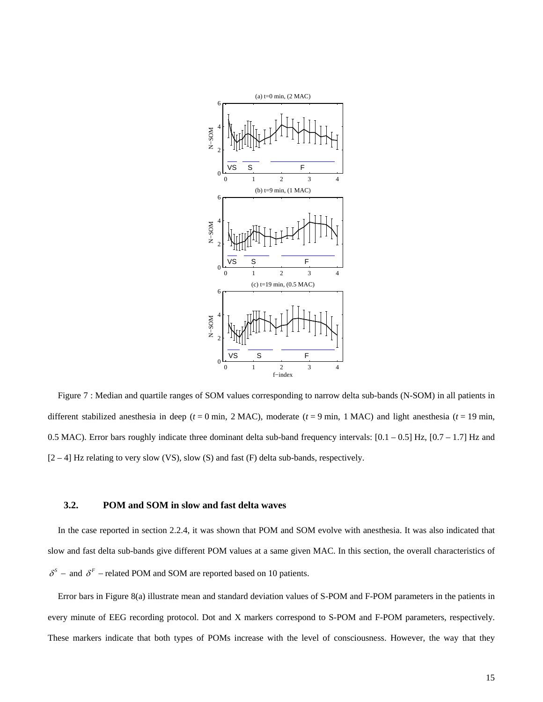

<span id="page-14-0"></span>Figure 7 : Median and quartile ranges of SOM values corresponding to narrow delta sub-bands (N-SOM) in all patients in different stabilized anesthesia in deep ( $t = 0$  min, 2 MAC), moderate ( $t = 9$  min, 1 MAC) and light anesthesia ( $t = 19$  min, 0.5 MAC). Error bars roughly indicate three dominant delta sub-band frequency intervals: [0.1 – 0.5] Hz, [0.7 – 1.7] Hz and  $[2 - 4]$  Hz relating to very slow (VS), slow (S) and fast (F) delta sub-bands, respectively.

#### **3.2. POM and SOM in slow and fast delta waves**

<span id="page-14-1"></span>In the case reported in section [2.2.4,](#page-12-0) it was shown that POM and SOM evolve with anesthesia. It was also indicated that slow and fast delta sub-bands give different POM values at a same given MAC. In this section, the overall characteristics of  $\delta^s$  − and  $\delta^F$  − related POM and SOM are reported based on 10 patients.

Error bars in [Figure 8\(](#page-16-0)a) illustrate mean and standard deviation values of S-POM and F-POM parameters in the patients in every minute of EEG recording protocol. Dot and X markers correspond to S-POM and F-POM parameters, respectively. These markers indicate that both types of POMs increase with the level of consciousness. However, the way that they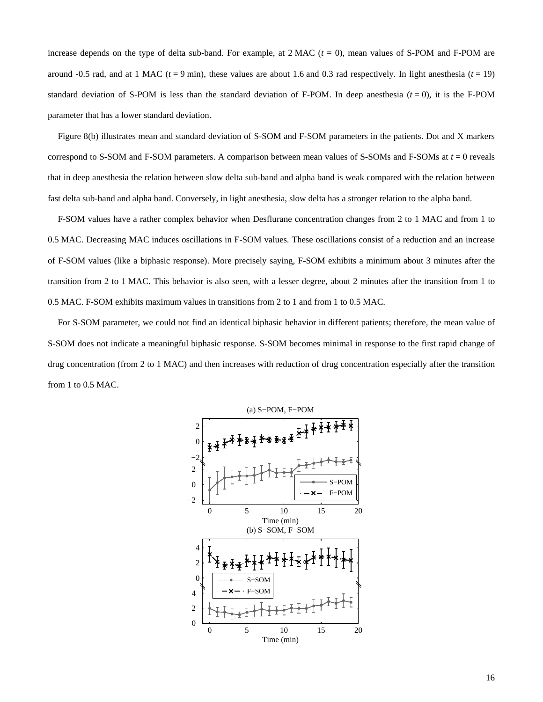increase depends on the type of delta sub-band. For example, at  $2$  MAC ( $t = 0$ ), mean values of S-POM and F-POM are around -0.5 rad, and at 1 MAC  $(t = 9 \text{ min})$ , these values are about 1.6 and 0.3 rad respectively. In light anesthesia  $(t = 19)$ standard deviation of S-POM is less than the standard deviation of F-POM. In deep anesthesia  $(t = 0)$ , it is the F-POM parameter that has a lower standard deviation.

[Figure 8](#page-16-0)(b) illustrates mean and standard deviation of S-SOM and F-SOM parameters in the patients. Dot and X markers correspond to S-SOM and F-SOM parameters. A comparison between mean values of S-SOMs and F-SOMs at *t* = 0 reveals that in deep anesthesia the relation between slow delta sub-band and alpha band is weak compared with the relation between fast delta sub-band and alpha band. Conversely, in light anesthesia, slow delta has a stronger relation to the alpha band.

F-SOM values have a rather complex behavior when Desflurane concentration changes from 2 to 1 MAC and from 1 to 0.5 MAC. Decreasing MAC induces oscillations in F-SOM values. These oscillations consist of a reduction and an increase of F-SOM values (like a biphasic response). More precisely saying, F-SOM exhibits a minimum about 3 minutes after the transition from 2 to 1 MAC. This behavior is also seen, with a lesser degree, about 2 minutes after the transition from 1 to 0.5 MAC. F-SOM exhibits maximum values in transitions from 2 to 1 and from 1 to 0.5 MAC.

For S-SOM parameter, we could not find an identical biphasic behavior in different patients; therefore, the mean value of S-SOM does not indicate a meaningful biphasic response. S-SOM becomes minimal in response to the first rapid change of drug concentration (from 2 to 1 MAC) and then increases with reduction of drug concentration especially after the transition from 1 to 0.5 MAC.

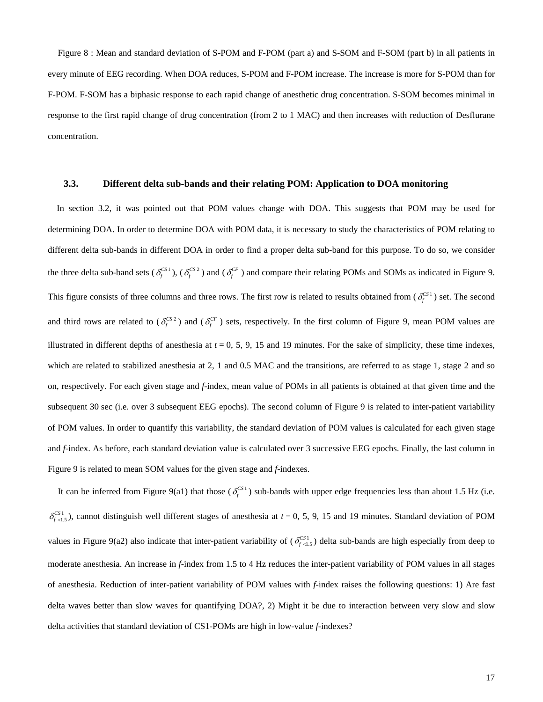<span id="page-16-0"></span>Figure 8 : Mean and standard deviation of S-POM and F-POM (part a) and S-SOM and F-SOM (part b) in all patients in every minute of EEG recording. When DOA reduces, S-POM and F-POM increase. The increase is more for S-POM than for F-POM. F-SOM has a biphasic response to each rapid change of anesthetic drug concentration. S-SOM becomes minimal in response to the first rapid change of drug concentration (from 2 to 1 MAC) and then increases with reduction of Desflurane concentration.

#### **3.3. Different delta sub-bands and their relating POM: Application to DOA monitoring**

In section [3.2](#page-14-1), it was pointed out that POM values change with DOA. This suggests that POM may be used for determining DOA. In order to determine DOA with POM data, it is necessary to study the characteristics of POM relating to different delta sub-bands in different DOA in order to find a proper delta sub-band for this purpose. To do so, we consider the three delta sub-band sets ( $\delta_f^{CS1}$ ), ( $\delta_f^{CS2}$ ) and ( $\delta_f^{CF}$ ) and compare their relating POMs and SOMs as indicated in [Figure 9.](#page-17-0) This figure consists of three columns and three rows. The first row is related to results obtained from  $(\delta_f^{\text{CS1}})$  set. The second and third rows are related to  $(\delta_f^{CS2})$  and  $(\delta_f^{CF})$  sets, respectively. In the first column of [Figure 9,](#page-17-0) mean POM values are illustrated in different depths of anesthesia at  $t = 0, 5, 9, 15$  and 19 minutes. For the sake of simplicity, these time indexes, which are related to stabilized anesthesia at 2, 1 and 0.5 MAC and the transitions, are referred to as stage 1, stage 2 and so on, respectively. For each given stage and *f*-index, mean value of POMs in all patients is obtained at that given time and the subsequent 30 sec (i.e. over 3 subsequent EEG epochs). The second column of [Figure 9](#page-17-0) is related to inter-patient variability of POM values. In order to quantify this variability, the standard deviation of POM values is calculated for each given stage and *f*-index. As before, each standard deviation value is calculated over 3 successive EEG epochs. Finally, the last column in [Figure 9](#page-17-0) is related to mean SOM values for the given stage and *f*-indexes.

It can be inferred from [Figure 9\(](#page-17-0)a1) that those ( $\delta_f^{\text{CS1}}$ ) sub-bands with upper edge frequencies less than about 1.5 Hz (i.e.  $\delta_{f \leq 1.5}^{CST}$ ), cannot distinguish well different stages of anesthesia at  $t = 0, 5, 9, 15$  and 19 minutes. Standard deviation of POM values in [Figure 9\(](#page-17-0)a2) also indicate that inter-patient variability of  $(\delta_{f\langle 1.5 \rangle}^{CS1})$  delta sub-bands are high especially from deep to moderate anesthesia. An increase in *f*-index from 1.5 to 4 Hz reduces the inter-patient variability of POM values in all stages of anesthesia. Reduction of inter-patient variability of POM values with *f*-index raises the following questions: 1) Are fast delta waves better than slow waves for quantifying DOA?, 2) Might it be due to interaction between very slow and slow delta activities that standard deviation of CS1-POMs are high in low-value *f*-indexes?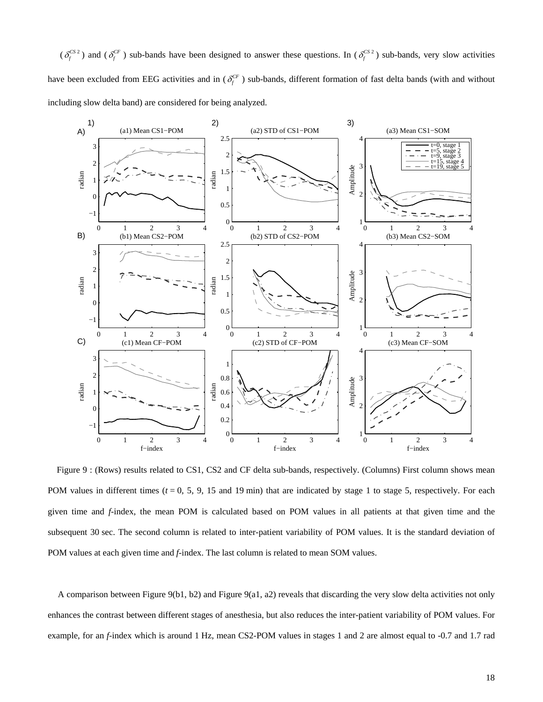$(\delta_f^{CS2})$  and  $(\delta_f^{CF})$  sub-bands have been designed to answer these questions. In  $(\delta_f^{CS2})$  sub-bands, very slow activities have been excluded from EEG activities and in  $(\delta_f^{CF})$  sub-bands, different formation of fast delta bands (with and without including slow delta band) are considered for being analyzed.



<span id="page-17-0"></span>Figure 9 : (Rows) results related to CS1, CS2 and CF delta sub-bands, respectively. (Columns) First column shows mean POM values in different times  $(t = 0, 5, 9, 15, 19, 19, 19)$  that are indicated by stage 1 to stage 5, respectively. For each given time and *f*-index, the mean POM is calculated based on POM values in all patients at that given time and the subsequent 30 sec. The second column is related to inter-patient variability of POM values. It is the standard deviation of POM values at each given time and *f*-index. The last column is related to mean SOM values.

A comparison between [Figure 9\(](#page-17-0)b1, b2) and [Figure 9\(](#page-17-0)a1, a2) reveals that discarding the very slow delta activities not only enhances the contrast between different stages of anesthesia, but also reduces the inter-patient variability of POM values. For example, for an *f*-index which is around 1 Hz, mean CS2-POM values in stages 1 and 2 are almost equal to -0.7 and 1.7 rad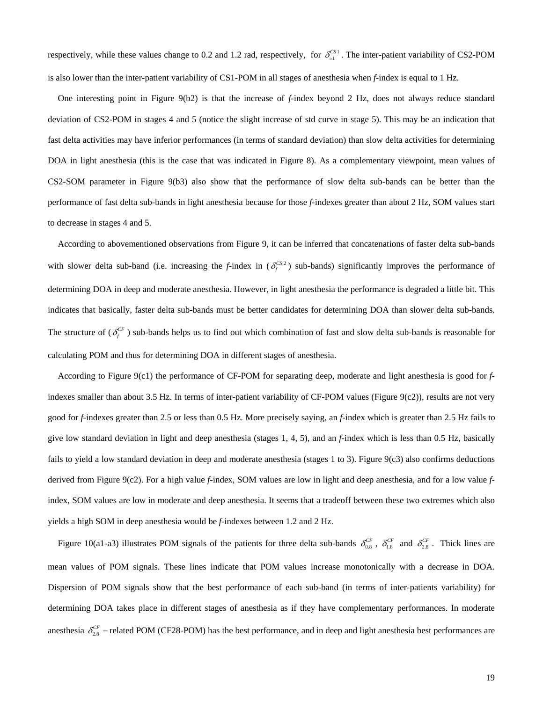respectively, while these values change to 0.2 and 1.2 rad, respectively, for  $\delta_{-1}^{CS1}$ . The inter-patient variability of CS2-POM is also lower than the inter-patient variability of CS1-POM in all stages of anesthesia when *f*-index is equal to 1 Hz.

One interesting point in [Figure 9](#page-17-0)(b2) is that the increase of *f*-index beyond 2 Hz, does not always reduce standard deviation of CS2-POM in stages 4 and 5 (notice the slight increase of std curve in stage 5). This may be an indication that fast delta activities may have inferior performances (in terms of standard deviation) than slow delta activities for determining DOA in light anesthesia (this is the case that was indicated in [Figure 8\)](#page-16-0). As a complementary viewpoint, mean values of CS2-SOM parameter in [Figure 9\(](#page-17-0)b3) also show that the performance of slow delta sub-bands can be better than the performance of fast delta sub-bands in light anesthesia because for those *f*-indexes greater than about 2 Hz, SOM values start to decrease in stages 4 and 5.

According to abovementioned observations from [Figure 9,](#page-17-0) it can be inferred that concatenations of faster delta sub-bands with slower delta sub-band (i.e. increasing the *f*-index in  $(\delta_f^{CS2})$  sub-bands) significantly improves the performance of determining DOA in deep and moderate anesthesia. However, in light anesthesia the performance is degraded a little bit. This indicates that basically, faster delta sub-bands must be better candidates for determining DOA than slower delta sub-bands. The structure of  $(\delta_f^{CF})$  sub-bands helps us to find out which combination of fast and slow delta sub-bands is reasonable for calculating POM and thus for determining DOA in different stages of anesthesia.

According to [Figure 9](#page-17-0)(c1) the performance of CF-POM for separating deep, moderate and light anesthesia is good for *f*indexes smaller than about 3.5 Hz. In terms of inter-patient variability of CF-POM values [\(Figure 9](#page-17-0)(c2)), results are not very good for *f*-indexes greater than 2.5 or less than 0.5 Hz. More precisely saying, an *f*-index which is greater than 2.5 Hz fails to give low standard deviation in light and deep anesthesia (stages 1, 4, 5), and an *f*-index which is less than 0.5 Hz, basically fails to yield a low standard deviation in deep and moderate anesthesia (stages 1 to 3). [Figure 9\(](#page-17-0)c3) also confirms deductions derived from [Figure 9](#page-17-0)(c2). For a high value *f*-index, SOM values are low in light and deep anesthesia, and for a low value *f*index, SOM values are low in moderate and deep anesthesia. It seems that a tradeoff between these two extremes which also yields a high SOM in deep anesthesia would be *f*-indexes between 1.2 and 2 Hz.

[Figure 10](#page-20-0)(a1-a3) illustrates POM signals of the patients for three delta sub-bands  $\delta_{0.8}^{CF}$ ,  $\delta_{1.8}^{CF}$  and  $\delta_{2.8}^{CF}$ . Thick lines are mean values of POM signals. These lines indicate that POM values increase monotonically with a decrease in DOA. Dispersion of POM signals show that the best performance of each sub-band (in terms of inter-patients variability) for determining DOA takes place in different stages of anesthesia as if they have complementary performances. In moderate anesthesia  $\delta_{2.8}^{CF}$  – related POM (CF28-POM) has the best performance, and in deep and light anesthesia best performances are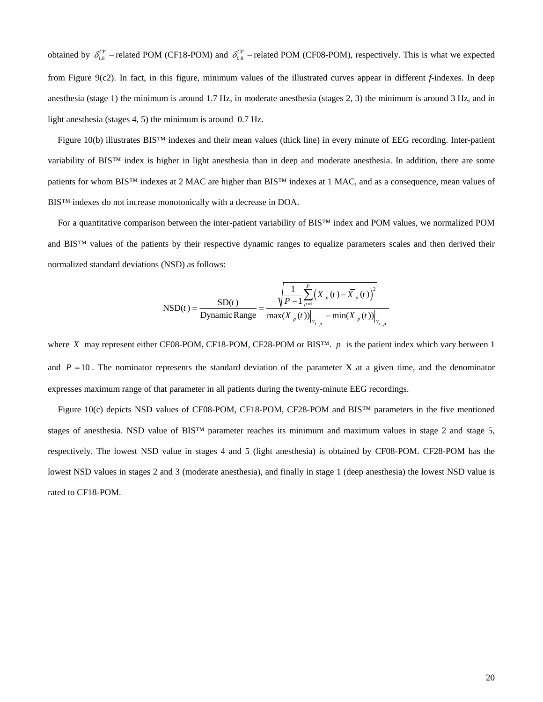obtained by  $\delta_{1.8}^{CF}$  – related POM (CF18-POM) and  $\delta_{0.8}^{CF}$  – related POM (CF08-POM), respectively. This is what we expected from [Figure 9](#page-17-0)(c2). In fact, in this figure, minimum values of the illustrated curves appear in different *f*-indexes. In deep anesthesia (stage 1) the minimum is around 1.7 Hz, in moderate anesthesia (stages 2, 3) the minimum is around 3 Hz, and in light anesthesia (stages 4, 5) the minimum is around 0.7 Hz.

[Figure 10\(](#page-20-0)b) illustrates BIS™ indexes and their mean values (thick line) in every minute of EEG recording. Inter-patient variability of BIS™ index is higher in light anesthesia than in deep and moderate anesthesia. In addition, there are some patients for whom BIS™ indexes at 2 MAC are higher than BIS™ indexes at 1 MAC, and as a consequence, mean values of BIS™ indexes do not increase monotonically with a decrease in DOA.

For a quantitative comparison between the inter-patient variability of BIS™ index and POM values, we normalized POM and BIS™ values of the patients by their respective dynamic ranges to equalize parameters scales and then derived their normalized standard deviations (NSD) as follows:

$$
\text{NSD}(t) = \frac{\text{SD}(t)}{\text{Dynamic Range}} = \frac{\sqrt{\frac{1}{P-1} \sum_{p=1}^{P} (X_{p}(t) - \bar{X}_{p}(t))^{2}}}{\max(X_{p}(t))|_{\forall_{t,p}} - \min(X_{p}(t))|_{\forall_{t,p}}}
$$

where *X* may represent either CF08-POM, CF18-POM, CF28-POM or BIS<sup>TM</sup>.  $p$  is the patient index which vary between 1 and  $P = 10$ . The nominator represents the standard deviation of the parameter X at a given time, and the denominator expresses maximum range of that parameter in all patients during the twenty-minute EEG recordings.

[Figure 10](#page-20-0)(c) depicts NSD values of CF08-POM, CF18-POM, CF28-POM and BIS™ parameters in the five mentioned stages of anesthesia. NSD value of BIS<sup>™</sup> parameter reaches its minimum and maximum values in stage 2 and stage 5, respectively. The lowest NSD value in stages 4 and 5 (light anesthesia) is obtained by CF08-POM. CF28-POM has the lowest NSD values in stages 2 and 3 (moderate anesthesia), and finally in stage 1 (deep anesthesia) the lowest NSD value is rated to CF18-POM.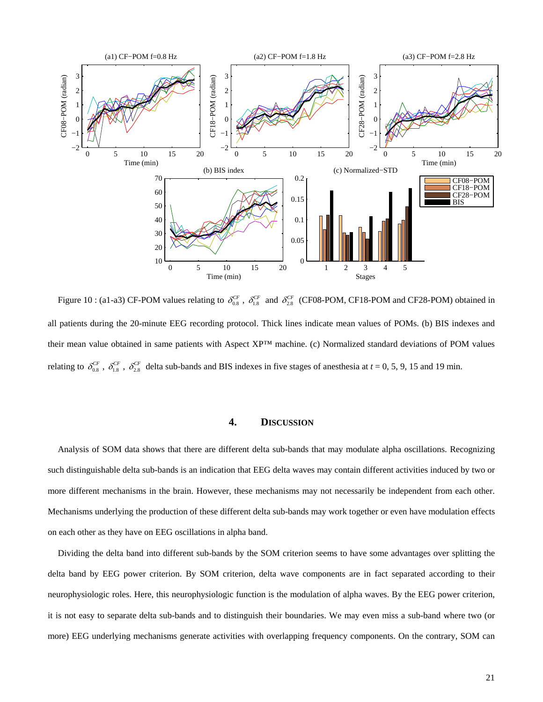

<span id="page-20-0"></span>Figure 10 : (a1-a3) CF-POM values relating to  $\delta_{0.8}^{CF}$ ,  $\delta_{1.8}^{CF}$  and  $\delta_{2.8}^{CF}$  (CF08-POM, CF18-POM and CF28-POM) obtained in all patients during the 20-minute EEG recording protocol. Thick lines indicate mean values of POMs. (b) BIS indexes and their mean value obtained in same patients with Aspect XP™ machine. (c) Normalized standard deviations of POM values relating to  $\delta_{0.8}^{CF}$ ,  $\delta_{1.8}^{CF}$ ,  $\delta_{2.8}^{CF}$  delta sub-bands and BIS indexes in five stages of anesthesia at  $t = 0, 5, 9, 15$  and 19 min.

#### **4. DISCUSSION**

Analysis of SOM data shows that there are different delta sub-bands that may modulate alpha oscillations. Recognizing such distinguishable delta sub-bands is an indication that EEG delta waves may contain different activities induced by two or more different mechanisms in the brain. However, these mechanisms may not necessarily be independent from each other. Mechanisms underlying the production of these different delta sub-bands may work together or even have modulation effects on each other as they have on EEG oscillations in alpha band.

Dividing the delta band into different sub-bands by the SOM criterion seems to have some advantages over splitting the delta band by EEG power criterion. By SOM criterion, delta wave components are in fact separated according to their neurophysiologic roles. Here, this neurophysiologic function is the modulation of alpha waves. By the EEG power criterion, it is not easy to separate delta sub-bands and to distinguish their boundaries. We may even miss a sub-band where two (or more) EEG underlying mechanisms generate activities with overlapping frequency components. On the contrary, SOM can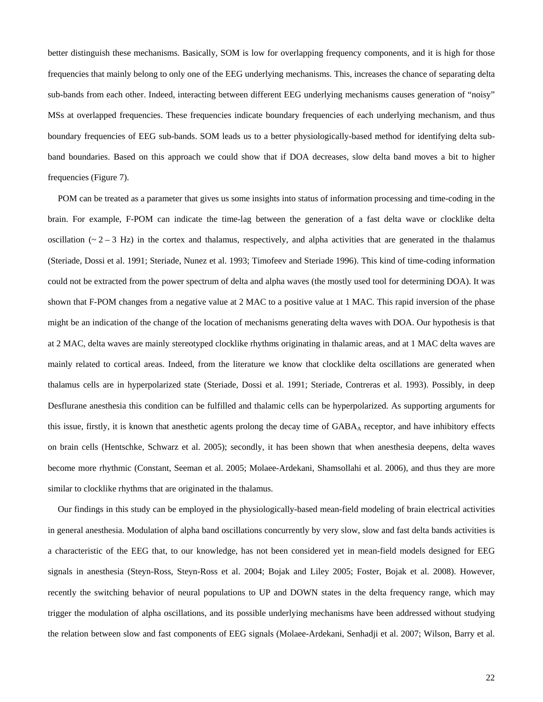better distinguish these mechanisms. Basically, SOM is low for overlapping frequency components, and it is high for those frequencies that mainly belong to only one of the EEG underlying mechanisms. This, increases the chance of separating delta sub-bands from each other. Indeed, interacting between different EEG underlying mechanisms causes generation of "noisy" MSs at overlapped frequencies. These frequencies indicate boundary frequencies of each underlying mechanism, and thus boundary frequencies of EEG sub-bands. SOM leads us to a better physiologically-based method for identifying delta subband boundaries. Based on this approach we could show that if DOA decreases, slow delta band moves a bit to higher frequencies [\(Figure 7\)](#page-14-0).

POM can be treated as a parameter that gives us some insights into status of information processing and time-coding in the brain. For example, F-POM can indicate the time-lag between the generation of a fast delta wave or clocklike delta oscillation ( $\sim$  2 – 3 Hz) in the cortex and thalamus, respectively, and alpha activities that are generated in the thalamus (Steriade, Dossi et al. 1991; Steriade, Nunez et al. 1993; Timofeev and Steriade 1996). This kind of time-coding information could not be extracted from the power spectrum of delta and alpha waves (the mostly used tool for determining DOA). It was shown that F-POM changes from a negative value at 2 MAC to a positive value at 1 MAC. This rapid inversion of the phase might be an indication of the change of the location of mechanisms generating delta waves with DOA. Our hypothesis is that at 2 MAC, delta waves are mainly stereotyped clocklike rhythms originating in thalamic areas, and at 1 MAC delta waves are mainly related to cortical areas. Indeed, from the literature we know that clocklike delta oscillations are generated when thalamus cells are in hyperpolarized state (Steriade, Dossi et al. 1991; Steriade, Contreras et al. 1993). Possibly, in deep Desflurane anesthesia this condition can be fulfilled and thalamic cells can be hyperpolarized. As supporting arguments for this issue, firstly, it is known that anesthetic agents prolong the decay time of GABA<sub>A</sub> receptor, and have inhibitory effects on brain cells (Hentschke, Schwarz et al. 2005); secondly, it has been shown that when anesthesia deepens, delta waves become more rhythmic (Constant, Seeman et al. 2005; Molaee-Ardekani, Shamsollahi et al. 2006), and thus they are more similar to clocklike rhythms that are originated in the thalamus.

Our findings in this study can be employed in the physiologically-based mean-field modeling of brain electrical activities in general anesthesia. Modulation of alpha band oscillations concurrently by very slow, slow and fast delta bands activities is a characteristic of the EEG that, to our knowledge, has not been considered yet in mean-field models designed for EEG signals in anesthesia (Steyn-Ross, Steyn-Ross et al. 2004; Bojak and Liley 2005; Foster, Bojak et al. 2008). However, recently the switching behavior of neural populations to UP and DOWN states in the delta frequency range, which may trigger the modulation of alpha oscillations, and its possible underlying mechanisms have been addressed without studying the relation between slow and fast components of EEG signals (Molaee-Ardekani, Senhadji et al. 2007; Wilson, Barry et al.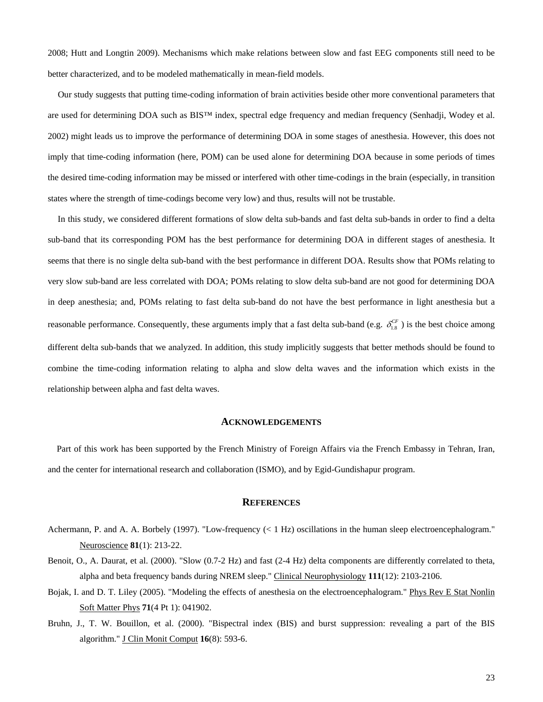2008; Hutt and Longtin 2009). Mechanisms which make relations between slow and fast EEG components still need to be better characterized, and to be modeled mathematically in mean-field models.

Our study suggests that putting time-coding information of brain activities beside other more conventional parameters that are used for determining DOA such as BIS™ index, spectral edge frequency and median frequency (Senhadji, Wodey et al. 2002) might leads us to improve the performance of determining DOA in some stages of anesthesia. However, this does not imply that time-coding information (here, POM) can be used alone for determining DOA because in some periods of times the desired time-coding information may be missed or interfered with other time-codings in the brain (especially, in transition states where the strength of time-codings become very low) and thus, results will not be trustable.

In this study, we considered different formations of slow delta sub-bands and fast delta sub-bands in order to find a delta sub-band that its corresponding POM has the best performance for determining DOA in different stages of anesthesia. It seems that there is no single delta sub-band with the best performance in different DOA. Results show that POMs relating to very slow sub-band are less correlated with DOA; POMs relating to slow delta sub-band are not good for determining DOA in deep anesthesia; and, POMs relating to fast delta sub-band do not have the best performance in light anesthesia but a reasonable performance. Consequently, these arguments imply that a fast delta sub-band (e.g.  $\delta_{1.8}^{CF}$ ) is the best choice among different delta sub-bands that we analyzed. In addition, this study implicitly suggests that better methods should be found to combine the time-coding information relating to alpha and slow delta waves and the information which exists in the relationship between alpha and fast delta waves.

#### **ACKNOWLEDGEMENTS**

Part of this work has been supported by the French Ministry of Foreign Affairs via the French Embassy in Tehran, Iran, and the center for international research and collaboration (ISMO), and by Egid-Gundishapur program.

## **REFERENCES**

- Achermann, P. and A. A. Borbely (1997). "Low-frequency (< 1 Hz) oscillations in the human sleep electroencephalogram." Neuroscience **81**(1): 213-22.
- Benoit, O., A. Daurat, et al. (2000). "Slow (0.7-2 Hz) and fast (2-4 Hz) delta components are differently correlated to theta, alpha and beta frequency bands during NREM sleep." Clinical Neurophysiology **111**(12): 2103-2106.
- Bojak, I. and D. T. Liley (2005). "Modeling the effects of anesthesia on the electroencephalogram." Phys Rev E Stat Nonlin Soft Matter Phys **71**(4 Pt 1): 041902.
- Bruhn, J., T. W. Bouillon, et al. (2000). "Bispectral index (BIS) and burst suppression: revealing a part of the BIS algorithm." J Clin Monit Comput **16**(8): 593-6.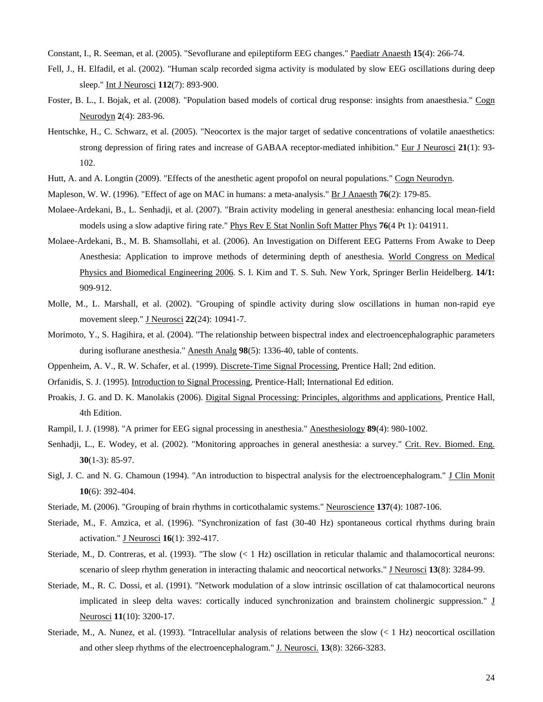Constant, I., R. Seeman, et al. (2005). "Sevoflurane and epileptiform EEG changes." Paediatr Anaesth **15**(4): 266-74.

- Fell, J., H. Elfadil, et al. (2002). "Human scalp recorded sigma activity is modulated by slow EEG oscillations during deep sleep." Int J Neurosci **112**(7): 893-900.
- Foster, B. L., I. Bojak, et al. (2008). "Population based models of cortical drug response: insights from anaesthesia." Cogn Neurodyn **2**(4): 283-96.
- Hentschke, H., C. Schwarz, et al. (2005). "Neocortex is the major target of sedative concentrations of volatile anaesthetics: strong depression of firing rates and increase of GABAA receptor-mediated inhibition." Eur J Neurosci **21**(1): 93- 102.
- Hutt, A. and A. Longtin (2009). "Effects of the anesthetic agent propofol on neural populations." Cogn Neurodyn.
- Mapleson, W. W. (1996). "Effect of age on MAC in humans: a meta-analysis." Br J Anaesth **76**(2): 179-85.
- Molaee-Ardekani, B., L. Senhadji, et al. (2007). "Brain activity modeling in general anesthesia: enhancing local mean-field models using a slow adaptive firing rate." Phys Rev E Stat Nonlin Soft Matter Phys **76**(4 Pt 1): 041911.
- Molaee-Ardekani, B., M. B. Shamsollahi, et al. (2006). An Investigation on Different EEG Patterns From Awake to Deep Anesthesia: Application to improve methods of determining depth of anesthesia. World Congress on Medical Physics and Biomedical Engineering 2006. S. I. Kim and T. S. Suh. New York, Springer Berlin Heidelberg. **14/1:**  909-912.
- Molle, M., L. Marshall, et al. (2002). "Grouping of spindle activity during slow oscillations in human non-rapid eye movement sleep." J Neurosci **22**(24): 10941-7.
- Morimoto, Y., S. Hagihira, et al. (2004). "The relationship between bispectral index and electroencephalographic parameters during isoflurane anesthesia." Anesth Analg **98**(5): 1336-40, table of contents.
- Oppenheim, A. V., R. W. Schafer, et al. (1999). Discrete-Time Signal Processing, Prentice Hall; 2nd edition.

Orfanidis, S. J. (1995). Introduction to Signal Processing, Prentice-Hall; International Ed edition.

- Proakis, J. G. and D. K. Manolakis (2006). Digital Signal Processing: Principles, algorithms and applications, Prentice Hall, 4th Edition.
- Rampil, I. J. (1998). "A primer for EEG signal processing in anesthesia." Anesthesiology **89**(4): 980-1002.
- Senhadji, L., E. Wodey, et al. (2002). "Monitoring approaches in general anesthesia: a survey." Crit. Rev. Biomed. Eng. **30**(1-3): 85-97.
- Sigl, J. C. and N. G. Chamoun (1994). "An introduction to bispectral analysis for the electroencephalogram." J Clin Monit **10**(6): 392-404.
- Steriade, M. (2006). "Grouping of brain rhythms in corticothalamic systems." Neuroscience **137**(4): 1087-106.
- Steriade, M., F. Amzica, et al. (1996). "Synchronization of fast (30-40 Hz) spontaneous cortical rhythms during brain activation." J Neurosci **16**(1): 392-417.
- Steriade, M., D. Contreras, et al. (1993). "The slow (< 1 Hz) oscillation in reticular thalamic and thalamocortical neurons: scenario of sleep rhythm generation in interacting thalamic and neocortical networks." J Neurosci 13(8): 3284-99.
- Steriade, M., R. C. Dossi, et al. (1991). "Network modulation of a slow intrinsic oscillation of cat thalamocortical neurons implicated in sleep delta waves: cortically induced synchronization and brainstem cholinergic suppression." J Neurosci **11**(10): 3200-17.
- Steriade, M., A. Nunez, et al. (1993). "Intracellular analysis of relations between the slow  $(< 1$  Hz) neocortical oscillation and other sleep rhythms of the electroencephalogram." J. Neurosci. **13**(8): 3266-3283.